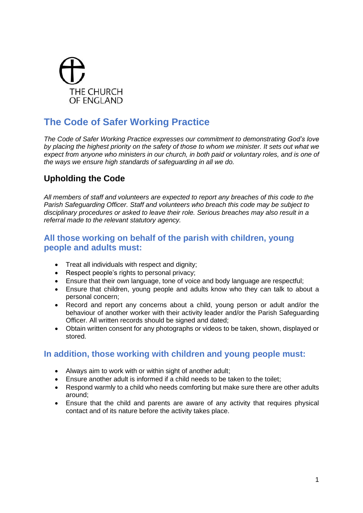

# **The Code of Safer Working Practice**

*The Code of Safer Working Practice expresses our commitment to demonstrating God's love by placing the highest priority on the safety of those to whom we minister. It sets out what we expect from anyone who ministers in our church, in both paid or voluntary roles, and is one of the ways we ensure high standards of safeguarding in all we do.* 

# **Upholding the Code**

*All members of staff and volunteers are expected to report any breaches of this code to the Parish Safeguarding Officer. Staff and volunteers who breach this code may be subject to disciplinary procedures or asked to leave their role. Serious breaches may also result in a referral made to the relevant statutory agency.* 

### **All those working on behalf of the parish with children, young people and adults must:**

- Treat all individuals with respect and dignity:
- Respect people's rights to personal privacy;
- Ensure that their own language, tone of voice and body language are respectful;
- Ensure that children, young people and adults know who they can talk to about a personal concern;
- Record and report any concerns about a child, young person or adult and/or the behaviour of another worker with their activity leader and/or the Parish Safeguarding Officer. All written records should be signed and dated;
- Obtain written consent for any photographs or videos to be taken, shown, displayed or stored.

#### **In addition, those working with children and young people must:**

- Always aim to work with or within sight of another adult;
- Ensure another adult is informed if a child needs to be taken to the toilet;
- Respond warmly to a child who needs comforting but make sure there are other adults around;
- Ensure that the child and parents are aware of any activity that requires physical contact and of its nature before the activity takes place.